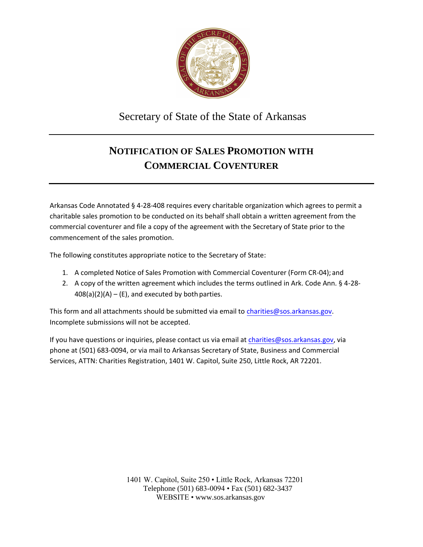

Secretary of State of the State of Arkansas

## **NOTIFICATION OF SALES PROMOTION WITH COMMERCIAL COVENTURER**

Arkansas Code Annotated § 4-28-408 requires every charitable organization which agrees to permit a charitable sales promotion to be conducted on its behalf shall obtain a written agreement from the commercial coventurer and file a copy of the agreement with the Secretary of State prior to the commencement of the sales promotion.

The following constitutes appropriate notice to the Secretary of State:

- 1. A completed Notice of Sales Promotion with Commercial Coventurer (Form CR-04); and
- 2. A copy of the written agreement which includes the terms outlined in Ark. Code Ann. § 4-28-  $408(a)(2)(A) - (E)$ , and executed by both parties.

This form and all attachments should be submitted via email to [charities@sos.arkansas.go](mailto:XXXXXX@sos.arkansas.gov)[v](mailto:charities@sos.arkansas.gov). Incomplete submissions will not be accepted.

If you have questions or inquiries, please contact us via email at [charities@sos.arkansas.go](mailto:XXXXXX@sos.arkansas.gov)[v](mailto:charities@sos.arkansas.gov), via phone at (501) 683-0094, or via mail to Arkansas Secretary of State, Business and Commercial Services, ATTN: Charities Registration, 1401 W. Capitol, Suite 250, Little Rock, AR 72201.

> 1401 W. Capitol, Suite 250 • Little Rock, Arkansas 72201 Telephone (501) 683-0094 • Fax (501) 682-3437 WEBSITE • [www.sos.arkansas.gov](http://www.sos.arkansas.gov/)